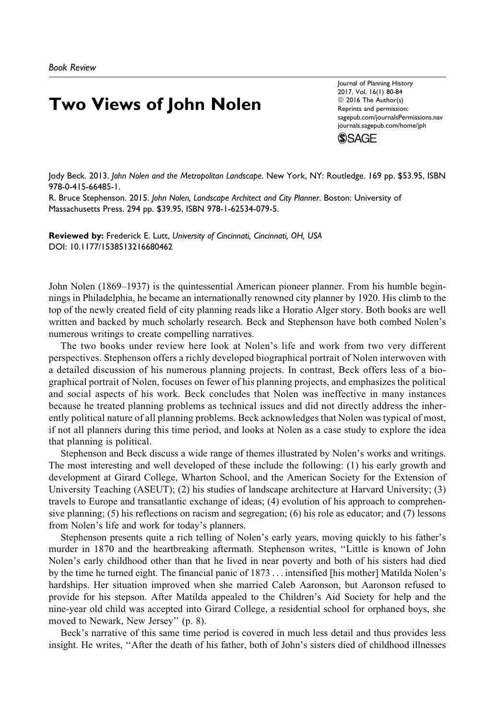## Two Views of John Nolen

Journal of Planning History 2017, Vol. 16(1) 80-84  $©$  2016 The Author(s) Reprints and permission: [sagepub.com/journalsPermissions.nav](http://www.sagepub.com/journalsPermissions.nav) [journals.sagepub.com/home/jph](http://journals.sagepub.com/home/jph)



Jody Beck. 2013. John Nolen and the Metropolitan Landscape. New York, NY: Routledge. 169 pp. \$53.95, ISBN 978-0-415-66485-1.

R. Bruce Stephenson. 2015. John Nolen, Landscape Architect and City Planner. Boston: University of Massachusetts Press. 294 pp. \$39.95, ISBN 978-1-62534-079-5.

Reviewed by: Frederick E. Lutt, University of Cincinnati, Cincinnati, OH, USA [DOI: 10.1177/1538513216680462](https://doi.org/10.1177/1538513216680462)

John Nolen (1869–1937) is the quintessential American pioneer planner. From his humble beginnings in Philadelphia, he became an internationally renowned city planner by 1920. His climb to the top of the newly created field of city planning reads like a Horatio Alger story. Both books are well written and backed by much scholarly research. Beck and Stephenson have both combed Nolen's numerous writings to create compelling narratives.

The two books under review here look at Nolen's life and work from two very different perspectives. Stephenson offers a richly developed biographical portrait of Nolen interwoven with a detailed discussion of his numerous planning projects. In contrast, Beck offers less of a biographical portrait of Nolen, focuses on fewer of his planning projects, and emphasizes the political and social aspects of his work. Beck concludes that Nolen was ineffective in many instances because he treated planning problems as technical issues and did not directly address the inherently political nature of all planning problems. Beck acknowledges that Nolen was typical of most, if not all planners during this time period, and looks at Nolen as a case study to explore the idea that planning is political.

Stephenson and Beck discuss a wide range of themes illustrated by Nolen's works and writings. The most interesting and well developed of these include the following: (1) his early growth and development at Girard College, Wharton School, and the American Society for the Extension of University Teaching (ASEUT); (2) his studies of landscape architecture at Harvard University; (3) travels to Europe and transatlantic exchange of ideas; (4) evolution of his approach to comprehensive planning; (5) his reflections on racism and segregation; (6) his role as educator; and (7) lessons from Nolen's life and work for today's planners.

Stephenson presents quite a rich telling of Nolen's early years, moving quickly to his father's murder in 1870 and the heartbreaking aftermath. Stephenson writes, ''Little is known of John Nolen's early childhood other than that he lived in near poverty and both of his sisters had died by the time he turned eight. The financial panic of 1873 ... intensified [his mother] Matilda Nolen's hardships. Her situation improved when she married Caleb Aaronson, but Aaronson refused to provide for his stepson. After Matilda appealed to the Children's Aid Society for help and the nine-year old child was accepted into Girard College, a residential school for orphaned boys, she moved to Newark, New Jersey'' (p. 8).

Beck's narrative of this same time period is covered in much less detail and thus provides less insight. He writes, ''After the death of his father, both of John's sisters died of childhood illnesses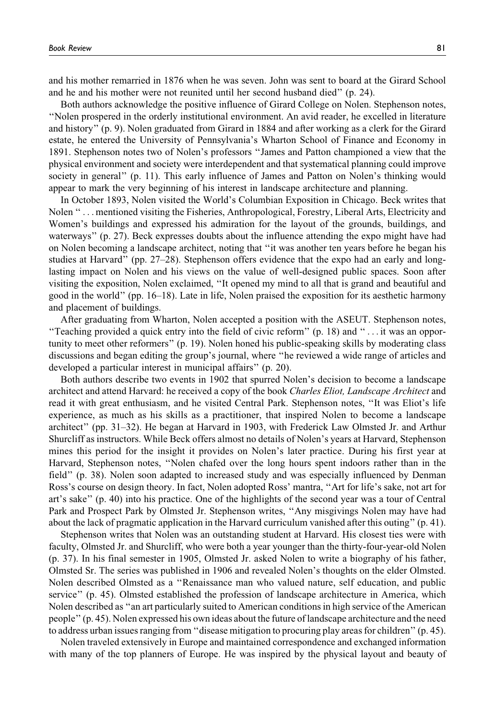and his mother remarried in 1876 when he was seven. John was sent to board at the Girard School and he and his mother were not reunited until her second husband died'' (p. 24).

Both authors acknowledge the positive influence of Girard College on Nolen. Stephenson notes, ''Nolen prospered in the orderly institutional environment. An avid reader, he excelled in literature and history'' (p. 9). Nolen graduated from Girard in 1884 and after working as a clerk for the Girard estate, he entered the University of Pennsylvania's Wharton School of Finance and Economy in 1891. Stephenson notes two of Nolen's professors ''James and Patton championed a view that the physical environment and society were interdependent and that systematical planning could improve society in general'' (p. 11). This early influence of James and Patton on Nolen's thinking would appear to mark the very beginning of his interest in landscape architecture and planning.

In October 1893, Nolen visited the World's Columbian Exposition in Chicago. Beck writes that Nolen '' ... mentioned visiting the Fisheries, Anthropological, Forestry, Liberal Arts, Electricity and Women's buildings and expressed his admiration for the layout of the grounds, buildings, and waterways'' (p. 27). Beck expresses doubts about the influence attending the expo might have had on Nolen becoming a landscape architect, noting that ''it was another ten years before he began his studies at Harvard'' (pp. 27–28). Stephenson offers evidence that the expo had an early and longlasting impact on Nolen and his views on the value of well-designed public spaces. Soon after visiting the exposition, Nolen exclaimed, ''It opened my mind to all that is grand and beautiful and good in the world'' (pp. 16–18). Late in life, Nolen praised the exposition for its aesthetic harmony and placement of buildings.

After graduating from Wharton, Nolen accepted a position with the ASEUT. Stephenson notes, ''Teaching provided a quick entry into the field of civic reform'' (p. 18) and ''... it was an opportunity to meet other reformers'' (p. 19). Nolen honed his public-speaking skills by moderating class discussions and began editing the group's journal, where ''he reviewed a wide range of articles and developed a particular interest in municipal affairs'' (p. 20).

Both authors describe two events in 1902 that spurred Nolen's decision to become a landscape architect and attend Harvard: he received a copy of the book Charles Eliot, Landscape Architect and read it with great enthusiasm, and he visited Central Park. Stephenson notes, ''It was Eliot's life experience, as much as his skills as a practitioner, that inspired Nolen to become a landscape architect'' (pp. 31–32). He began at Harvard in 1903, with Frederick Law Olmsted Jr. and Arthur Shurcliff as instructors. While Beck offers almost no details of Nolen's years at Harvard, Stephenson mines this period for the insight it provides on Nolen's later practice. During his first year at Harvard, Stephenson notes, ''Nolen chafed over the long hours spent indoors rather than in the field'' (p. 38). Nolen soon adapted to increased study and was especially influenced by Denman Ross's course on design theory. In fact, Nolen adopted Ross' mantra, ''Art for life's sake, not art for art's sake'' (p. 40) into his practice. One of the highlights of the second year was a tour of Central Park and Prospect Park by Olmsted Jr. Stephenson writes, ''Any misgivings Nolen may have had about the lack of pragmatic application in the Harvard curriculum vanished after this outing'' (p. 41).

Stephenson writes that Nolen was an outstanding student at Harvard. His closest ties were with faculty, Olmsted Jr. and Shurcliff, who were both a year younger than the thirty-four-year-old Nolen (p. 37). In his final semester in 1905, Olmsted Jr. asked Nolen to write a biography of his father, Olmsted Sr. The series was published in 1906 and revealed Nolen's thoughts on the elder Olmsted. Nolen described Olmsted as a ''Renaissance man who valued nature, self education, and public service'' (p. 45). Olmsted established the profession of landscape architecture in America, which Nolen described as ''an art particularly suited to American conditions in high service of the American people'' (p. 45). Nolen expressed his own ideas about the future of landscape architecture and the need to address urban issues ranging from ''disease mitigation to procuring play areas for children'' (p. 45).

Nolen traveled extensively in Europe and maintained correspondence and exchanged information with many of the top planners of Europe. He was inspired by the physical layout and beauty of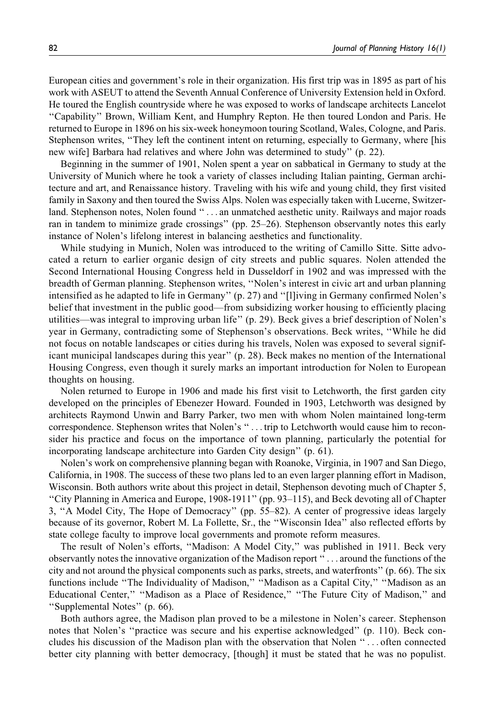European cities and government's role in their organization. His first trip was in 1895 as part of his work with ASEUT to attend the Seventh Annual Conference of University Extension held in Oxford. He toured the English countryside where he was exposed to works of landscape architects Lancelot ''Capability'' Brown, William Kent, and Humphry Repton. He then toured London and Paris. He returned to Europe in 1896 on his six-week honeymoon touring Scotland, Wales, Cologne, and Paris. Stephenson writes, "They left the continent intent on returning, especially to Germany, where [his new wife] Barbara had relatives and where John was determined to study'' (p. 22).

Beginning in the summer of 1901, Nolen spent a year on sabbatical in Germany to study at the University of Munich where he took a variety of classes including Italian painting, German architecture and art, and Renaissance history. Traveling with his wife and young child, they first visited family in Saxony and then toured the Swiss Alps. Nolen was especially taken with Lucerne, Switzerland. Stephenson notes, Nolen found '' ... an unmatched aesthetic unity. Railways and major roads ran in tandem to minimize grade crossings'' (pp. 25–26). Stephenson observantly notes this early instance of Nolen's lifelong interest in balancing aesthetics and functionality.

While studying in Munich, Nolen was introduced to the writing of Camillo Sitte. Sitte advocated a return to earlier organic design of city streets and public squares. Nolen attended the Second International Housing Congress held in Dusseldorf in 1902 and was impressed with the breadth of German planning. Stephenson writes, ''Nolen's interest in civic art and urban planning intensified as he adapted to life in Germany'' (p. 27) and ''[l]iving in Germany confirmed Nolen's belief that investment in the public good—from subsidizing worker housing to efficiently placing utilities—was integral to improving urban life'' (p. 29). Beck gives a brief description of Nolen's year in Germany, contradicting some of Stephenson's observations. Beck writes, ''While he did not focus on notable landscapes or cities during his travels, Nolen was exposed to several significant municipal landscapes during this year'' (p. 28). Beck makes no mention of the International Housing Congress, even though it surely marks an important introduction for Nolen to European thoughts on housing.

Nolen returned to Europe in 1906 and made his first visit to Letchworth, the first garden city developed on the principles of Ebenezer Howard. Founded in 1903, Letchworth was designed by architects Raymond Unwin and Barry Parker, two men with whom Nolen maintained long-term correspondence. Stephenson writes that Nolen's ''... trip to Letchworth would cause him to reconsider his practice and focus on the importance of town planning, particularly the potential for incorporating landscape architecture into Garden City design'' (p. 61).

Nolen's work on comprehensive planning began with Roanoke, Virginia, in 1907 and San Diego, California, in 1908. The success of these two plans led to an even larger planning effort in Madison, Wisconsin. Both authors write about this project in detail, Stephenson devoting much of Chapter 5, ''City Planning in America and Europe, 1908-1911'' (pp. 93–115), and Beck devoting all of Chapter 3, ''A Model City, The Hope of Democracy'' (pp. 55–82). A center of progressive ideas largely because of its governor, Robert M. La Follette, Sr., the ''Wisconsin Idea'' also reflected efforts by state college faculty to improve local governments and promote reform measures.

The result of Nolen's efforts, ''Madison: A Model City,'' was published in 1911. Beck very observantly notes the innovative organization of the Madison report ''... around the functions of the city and not around the physical components such as parks, streets, and waterfronts'' (p. 66). The six functions include "The Individuality of Madison," "Madison as a Capital City," "Madison as an Educational Center,'' ''Madison as a Place of Residence,'' ''The Future City of Madison,'' and ''Supplemental Notes'' (p. 66).

Both authors agree, the Madison plan proved to be a milestone in Nolen's career. Stephenson notes that Nolen's ''practice was secure and his expertise acknowledged'' (p. 110). Beck concludes his discussion of the Madison plan with the observation that Nolen '' ... often connected better city planning with better democracy, [though] it must be stated that he was no populist.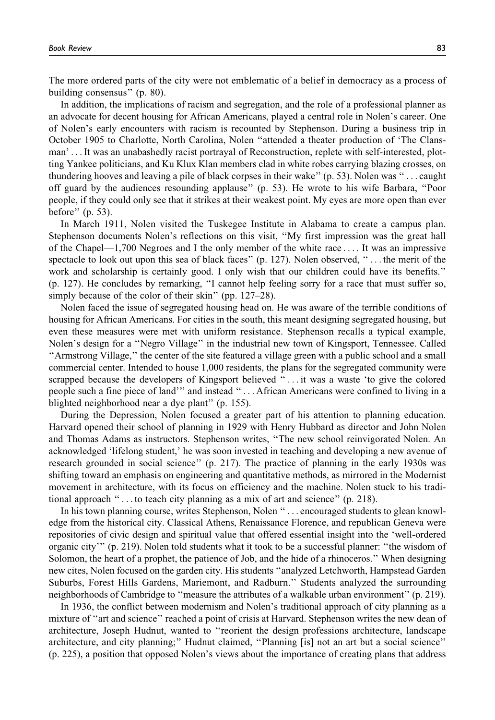The more ordered parts of the city were not emblematic of a belief in democracy as a process of building consensus'' (p. 80).

In addition, the implications of racism and segregation, and the role of a professional planner as an advocate for decent housing for African Americans, played a central role in Nolen's career. One of Nolen's early encounters with racism is recounted by Stephenson. During a business trip in October 1905 to Charlotte, North Carolina, Nolen ''attended a theater production of 'The Clansman' ... It was an unabashedly racist portrayal of Reconstruction, replete with self-interested, plotting Yankee politicians, and Ku Klux Klan members clad in white robes carrying blazing crosses, on thundering hooves and leaving a pile of black corpses in their wake'' (p. 53). Nolen was ''... caught off guard by the audiences resounding applause'' (p. 53). He wrote to his wife Barbara, ''Poor people, if they could only see that it strikes at their weakest point. My eyes are more open than ever before'' (p. 53).

In March 1911, Nolen visited the Tuskegee Institute in Alabama to create a campus plan. Stephenson documents Nolen's reflections on this visit, ''My first impression was the great hall of the Chapel—1,700 Negroes and I the only member of the white race ... . It was an impressive spectacle to look out upon this sea of black faces" (p. 127). Nolen observed, "... the merit of the work and scholarship is certainly good. I only wish that our children could have its benefits.'' (p. 127). He concludes by remarking, ''I cannot help feeling sorry for a race that must suffer so, simply because of the color of their skin" (pp. 127–28).

Nolen faced the issue of segregated housing head on. He was aware of the terrible conditions of housing for African Americans. For cities in the south, this meant designing segregated housing, but even these measures were met with uniform resistance. Stephenson recalls a typical example, Nolen's design for a ''Negro Village'' in the industrial new town of Kingsport, Tennessee. Called ''Armstrong Village,'' the center of the site featured a village green with a public school and a small commercial center. Intended to house 1,000 residents, the plans for the segregated community were scrapped because the developers of Kingsport believed ''... it was a waste 'to give the colored people such a fine piece of land''' and instead '' ... African Americans were confined to living in a blighted neighborhood near a dye plant'' (p. 155).

During the Depression, Nolen focused a greater part of his attention to planning education. Harvard opened their school of planning in 1929 with Henry Hubbard as director and John Nolen and Thomas Adams as instructors. Stephenson writes, ''The new school reinvigorated Nolen. An acknowledged 'lifelong student,' he was soon invested in teaching and developing a new avenue of research grounded in social science'' (p. 217). The practice of planning in the early 1930s was shifting toward an emphasis on engineering and quantitative methods, as mirrored in the Modernist movement in architecture, with its focus on efficiency and the machine. Nolen stuck to his traditional approach '' ... to teach city planning as a mix of art and science'' (p. 218).

In his town planning course, writes Stephenson, Nolen ''... encouraged students to glean knowledge from the historical city. Classical Athens, Renaissance Florence, and republican Geneva were repositories of civic design and spiritual value that offered essential insight into the 'well-ordered organic city''' (p. 219). Nolen told students what it took to be a successful planner: ''the wisdom of Solomon, the heart of a prophet, the patience of Job, and the hide of a rhinoceros.'' When designing new cites, Nolen focused on the garden city. His students ''analyzed Letchworth, Hampstead Garden Suburbs, Forest Hills Gardens, Mariemont, and Radburn.'' Students analyzed the surrounding neighborhoods of Cambridge to ''measure the attributes of a walkable urban environment'' (p. 219).

In 1936, the conflict between modernism and Nolen's traditional approach of city planning as a mixture of "art and science" reached a point of crisis at Harvard. Stephenson writes the new dean of architecture, Joseph Hudnut, wanted to ''reorient the design professions architecture, landscape architecture, and city planning;'' Hudnut claimed, ''Planning [is] not an art but a social science'' (p. 225), a position that opposed Nolen's views about the importance of creating plans that address